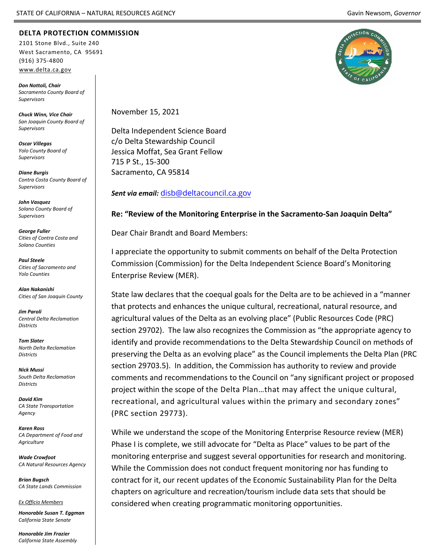## **DELTA PROTECTION COMMISSION**

2101 Stone Blvd., Suite 240 West Sacramento, CA 95691 (916) 375-4800 [www.delta.ca.gov](http://www.delta.ca.gov/)

*Don Nottoli, Chair Sacramento County Board of Supervisors*

*Chuck Winn, Vice Chair San Joaquin County Board of Supervisors*

*Oscar Villegas Yolo County Board of Supervisors*

*Diane Burgis Contra Costa County Board of Supervisors*

*John Vasquez Solano County Board of Supervisors*

*George Fuller Cities of Contra Costa and Solano Counties*

*Paul Steele Cities of Sacramento and Yolo Counties*

*Alan Nakanishi Cities of San Joaquin County*

*Jim Paroli Central Delta Reclamation Districts*

*Tom Slater North Delta Reclamation Districts*

*Nick Mussi South Delta Reclamation Districts*

*David Kim CA State Transportation Agency*

*Karen Ross CA Department of Food and Agriculture*

*Wade Crowfoot CA Natural Resources Agency*

*Brian Bugsch CA State Lands Commission*

*Ex Officio Members*

*Honorable Susan T. Eggman California State Senate*

*Honorable Jim Frazier California State Assembly*



November 15, 2021

Delta Independent Science Board c/o Delta Stewardship Council Jessica Moffat, Sea Grant Fellow 715 P St., 15-300 Sacramento, CA 95814

*Sent via email:* [disb@deltacouncil.ca.gov](mailto:disb@deltacouncil.ca.gov)

## **Re: "Review of the Monitoring Enterprise in the Sacramento-San Joaquin Delta"**

Dear Chair Brandt and Board Members:

I appreciate the opportunity to submit comments on behalf of the Delta Protection Commission (Commission) for the Delta Independent Science Board's Monitoring Enterprise Review (MER).

State law declares that the coequal goals for the Delta are to be achieved in a "manner that protects and enhances the unique cultural, recreational, natural resource, and agricultural values of the Delta as an evolving place" (Public Resources Code (PRC) section 29702). The law also recognizes the Commission as "the appropriate agency to identify and provide recommendations to the Delta Stewardship Council on methods of preserving the Delta as an evolving place" as the Council implements the Delta Plan (PRC section 29703.5). In addition, the Commission has authority to review and provide comments and recommendations to the Council on "any significant project or proposed project within the scope of the Delta Plan…that may affect the unique cultural, recreational, and agricultural values within the primary and secondary zones" (PRC section 29773).

While we understand the scope of the Monitoring Enterprise Resource review (MER) Phase I is complete, we still advocate for "Delta as Place" values to be part of the monitoring enterprise and suggest several opportunities for research and monitoring. While the Commission does not conduct frequent monitoring nor has funding to contract for it, our recent updates of the Economic Sustainability Plan for the Delta chapters on agriculture and recreation/tourism include data sets that should be considered when creating programmatic monitoring opportunities.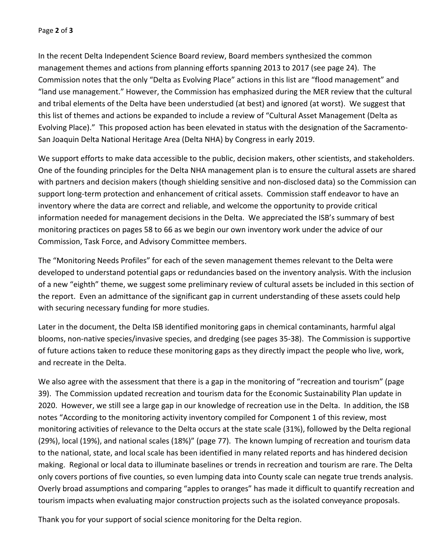In the recent Delta Independent Science Board review, Board members synthesized the common management themes and actions from planning efforts spanning 2013 to 2017 (see page 24). The Commission notes that the only "Delta as Evolving Place" actions in this list are "flood management" and "land use management." However, the Commission has emphasized during the MER review that the cultural and tribal elements of the Delta have been understudied (at best) and ignored (at worst). We suggest that this list of themes and actions be expanded to include a review of "Cultural Asset Management (Delta as Evolving Place)." This proposed action has been elevated in status with the designation of the Sacramento-San Joaquin Delta National Heritage Area (Delta NHA) by Congress in early 2019.

We support efforts to make data accessible to the public, decision makers, other scientists, and stakeholders. One of the founding principles for the Delta NHA management plan is to ensure the cultural assets are shared with partners and decision makers (though shielding sensitive and non-disclosed data) so the Commission can support long-term protection and enhancement of critical assets. Commission staff endeavor to have an inventory where the data are correct and reliable, and welcome the opportunity to provide critical information needed for management decisions in the Delta. We appreciated the ISB's summary of best monitoring practices on pages 58 to 66 as we begin our own inventory work under the advice of our Commission, Task Force, and Advisory Committee members.

The "Monitoring Needs Profiles" for each of the seven management themes relevant to the Delta were developed to understand potential gaps or redundancies based on the inventory analysis. With the inclusion of a new "eighth" theme, we suggest some preliminary review of cultural assets be included in this section of the report. Even an admittance of the significant gap in current understanding of these assets could help with securing necessary funding for more studies.

Later in the document, the Delta ISB identified monitoring gaps in chemical contaminants, harmful algal blooms, non-native species/invasive species, and dredging (see pages 35-38). The Commission is supportive of future actions taken to reduce these monitoring gaps as they directly impact the people who live, work, and recreate in the Delta.

We also agree with the assessment that there is a gap in the monitoring of "recreation and tourism" (page 39). The Commission updated recreation and tourism data for the Economic Sustainability Plan update in 2020. However, we still see a large gap in our knowledge of recreation use in the Delta. In addition, the ISB notes "According to the monitoring activity inventory compiled for Component 1 of this review, most monitoring activities of relevance to the Delta occurs at the state scale (31%), followed by the Delta regional (29%), local (19%), and national scales (18%)" (page 77). The known lumping of recreation and tourism data to the national, state, and local scale has been identified in many related reports and has hindered decision making. Regional or local data to illuminate baselines or trends in recreation and tourism are rare. The Delta only covers portions of five counties, so even lumping data into County scale can negate true trends analysis. Overly broad assumptions and comparing "apples to oranges" has made it difficult to quantify recreation and tourism impacts when evaluating major construction projects such as the isolated conveyance proposals.

Thank you for your support of social science monitoring for the Delta region.